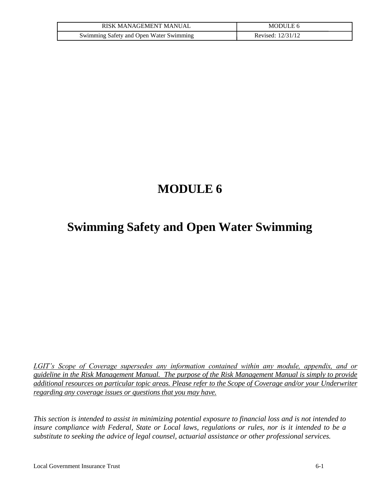| RISK MANAGEMENT MANUAL                  | MODULE 6          |
|-----------------------------------------|-------------------|
| Swimming Safety and Open Water Swimming | Revised: 12/31/12 |

# **MODULE 6**

# **Swimming Safety and Open Water Swimming**

*LGIT's Scope of Coverage supersedes any information contained within any module, appendix, and or guideline in the Risk Management Manual. The purpose of the Risk Management Manual is simply to provide additional resources on particular topic areas. Please refer to the Scope of Coverage and/or your Underwriter regarding any coverage issues or questions that you may have.*

*This section is intended to assist in minimizing potential exposure to financial loss and is not intended to insure compliance with Federal, State or Local laws, regulations or rules, nor is it intended to be a substitute to seeking the advice of legal counsel, actuarial assistance or other professional services.*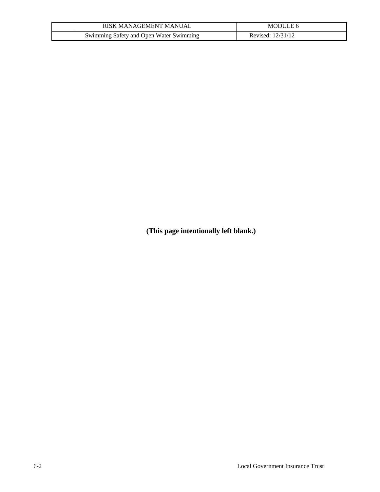| RISK MANAGEMENT MANUAL                  | MODULE 6          |
|-----------------------------------------|-------------------|
| Swimming Safety and Open Water Swimming | Revised: 12/31/12 |

**(This page intentionally left blank.)**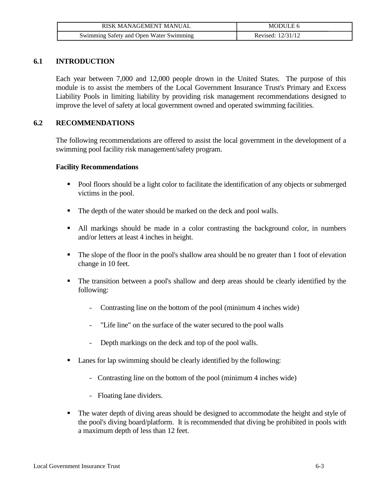| RISK MANAGEMENT MANUAL                  | MODULE 6             |
|-----------------------------------------|----------------------|
| Swimming Safety and Open Water Swimming | 12/31/12<br>Revised: |

## **6.1 INTRODUCTION**

Each year between 7,000 and 12,000 people drown in the United States. The purpose of this module is to assist the members of the Local Government Insurance Trust's Primary and Excess Liability Pools in limiting liability by providing risk management recommendations designed to improve the level of safety at local government owned and operated swimming facilities.

#### **6.2 RECOMMENDATIONS**

The following recommendations are offered to assist the local government in the development of a swimming pool facility risk management/safety program.

#### **Facility Recommendations**

- Pool floors should be a light color to facilitate the identification of any objects or submerged victims in the pool.
- The depth of the water should be marked on the deck and pool walls.
- All markings should be made in a color contrasting the background color, in numbers and/or letters at least 4 inches in height.
- The slope of the floor in the pool's shallow area should be no greater than 1 foot of elevation change in 10 feet.
- The transition between a pool's shallow and deep areas should be clearly identified by the following:
	- Contrasting line on the bottom of the pool (minimum 4 inches wide)
	- "Life line" on the surface of the water secured to the pool walls
	- Depth markings on the deck and top of the pool walls.
- Lanes for lap swimming should be clearly identified by the following:
	- Contrasting line on the bottom of the pool (minimum 4 inches wide)
	- Floating lane dividers.
- The water depth of diving areas should be designed to accommodate the height and style of the pool's diving board/platform. It is recommended that diving be prohibited in pools with a maximum depth of less than 12 feet.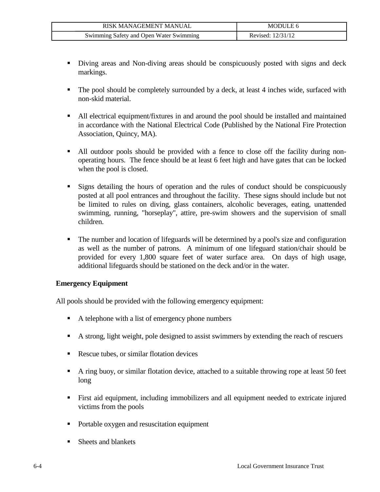| RISK MANAGEMENT MANUAL                  | MODULE 6          |
|-----------------------------------------|-------------------|
| Swimming Safety and Open Water Swimming | Revised: 12/31/12 |

- Diving areas and Non-diving areas should be conspicuously posted with signs and deck markings.
- The pool should be completely surrounded by a deck, at least 4 inches wide, surfaced with non-skid material.
- All electrical equipment/fixtures in and around the pool should be installed and maintained in accordance with the National Electrical Code (Published by the National Fire Protection Association, Quincy, MA).
- All outdoor pools should be provided with a fence to close off the facility during nonoperating hours. The fence should be at least 6 feet high and have gates that can be locked when the pool is closed.
- Signs detailing the hours of operation and the rules of conduct should be conspicuously posted at all pool entrances and throughout the facility. These signs should include but not be limited to rules on diving, glass containers, alcoholic beverages, eating, unattended swimming, running, "horseplay", attire, pre-swim showers and the supervision of small children.
- The number and location of lifeguards will be determined by a pool's size and configuration as well as the number of patrons. A minimum of one lifeguard station/chair should be provided for every 1,800 square feet of water surface area. On days of high usage, additional lifeguards should be stationed on the deck and/or in the water.

# **Emergency Equipment**

All pools should be provided with the following emergency equipment:

- A telephone with a list of emergency phone numbers
- A strong, light weight, pole designed to assist swimmers by extending the reach of rescuers
- Rescue tubes, or similar flotation devices
- A ring buoy, or similar flotation device, attached to a suitable throwing rope at least 50 feet long
- First aid equipment, including immobilizers and all equipment needed to extricate injured victims from the pools
- Portable oxygen and resuscitation equipment
- Sheets and blankets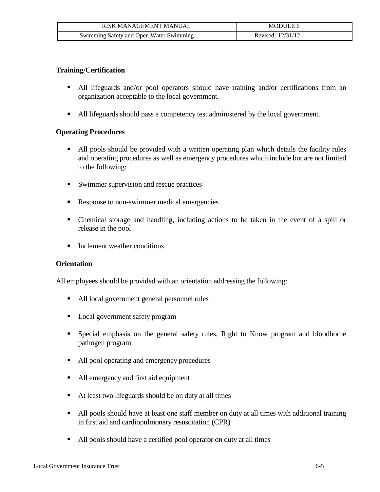| RISK MANAGEMENT MANUAL                  | MODULE 6          |
|-----------------------------------------|-------------------|
| Swimming Safety and Open Water Swimming | Revised: 12/31/12 |

# **Training/Certification**

- All lifeguards and/or pool operators should have training and/or certifications from an organization acceptable to the local government.
- All lifeguards should pass a competency test administered by the local government.

## **Operating Procedures**

- All pools should be provided with a written operating plan which details the facility rules and operating procedures as well as emergency procedures which include but are not limited to the following:
- Swimmer supervision and rescue practices
- Response to non-swimmer medical emergencies
- Chemical storage and handling, including actions to be taken in the event of a spill or release in the pool
- Inclement weather conditions

#### **Orientation**

All employees should be provided with an orientation addressing the following:

- All local government general personnel rules
- **Local government safety program**
- Special emphasis on the general safety rules, Right to Know program and bloodborne pathogen program
- All pool operating and emergency procedures
- All emergency and first aid equipment
- At least two lifeguards should be on duty at all times
- All pools should have at least one staff member on duty at all times with additional training in first aid and cardiopulmonary resuscitation (CPR)
- All pools should have a certified pool operator on duty at all times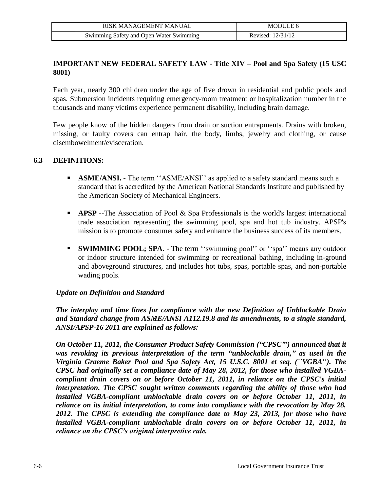| <b>RISK MANAGEMENT MANUAL</b>           | MODULE 6          |
|-----------------------------------------|-------------------|
| Swimming Safety and Open Water Swimming | Revised: 12/31/12 |

# **IMPORTANT NEW FEDERAL SAFETY LAW - Title XIV – Pool and Spa Safety (15 USC 8001)**

Each year, nearly 300 children under the age of five drown in residential and public pools and spas. Submersion incidents requiring emergency-room treatment or hospitalization number in the thousands and many victims experience permanent disability, including brain damage.

Few people know of the hidden dangers from drain or suction entrapments. Drains with broken, missing, or faulty covers can entrap hair, the body, limbs, jewelry and clothing, or cause disembowelment/evisceration.

## **6.3 DEFINITIONS:**

- **ASME/ANSI. -** The term "ASME/ANSI" as applied to a safety standard means such a standard that is accredited by the American National Standards Institute and published by the American Society of Mechanical Engineers.
- **APSP** --The Association of Pool & Spa Professionals is the world's largest international trade association representing the swimming pool, spa and hot tub industry. APSP's mission is to promote consumer safety and enhance the business success of its members.
- **SWIMMING POOL; SPA.** The term "swimming pool" or "spa" means any outdoor or indoor structure intended for swimming or recreational bathing, including in-ground and aboveground structures, and includes hot tubs, spas, portable spas, and non-portable wading pools.

# *Update on Definition and Standard*

*The interplay and time lines for compliance with the new Definition of Unblockable Drain and Standard change from ASME/ANSI A112.19.8 and its amendments, to a single standard, ANSI/APSP-16 2011 are explained as follows:*

*On October 11, 2011, the Consumer Product Safety Commission ("CPSC"') announced that it was revoking its previous interpretation of the term "unblockable drain," as used in the Virginia Graeme Baker Pool and Spa Safety Act, 15 U.S.C. 8001 et seq. (``VGBA''). The CPSC had originally set a compliance date of May 28, 2012, for those who installed VGBAcompliant drain covers on or before October 11, 2011, in reliance on the CPSC's initial interpretation. The CPSC sought written comments regarding the ability of those who had installed VGBA-compliant unblockable drain covers on or before October 11, 2011, in reliance on its initial interpretation, to come into compliance with the revocation by May 28, 2012. The CPSC is extending the compliance date to May 23, 2013, for those who have installed VGBA-compliant unblockable drain covers on or before October 11, 2011, in reliance on the CPSC's original interpretive rule.*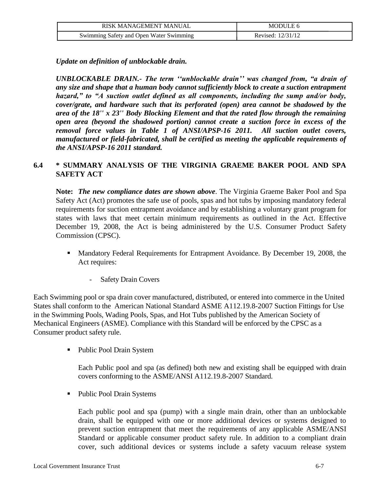| RISK MANAGEMENT MANUAL                  | MODULE 6             |
|-----------------------------------------|----------------------|
| Swimming Safety and Open Water Swimming | 12/31/12<br>Revised: |

*Update on definition of unblockable drain.*

*UNBLOCKABLE DRAIN.- The term ''unblockable drain'' was changed from, "a drain of any size and shape that a human body cannot sufficiently block to create a suction entrapment hazard," to "A suction outlet defined as all components, including the sump and/or body, cover/grate, and hardware such that its perforated (open) area cannot be shadowed by the area of the 18'' x 23'' Body Blocking Element and that the rated flow through the remaining open area (beyond the shadowed portion) cannot create a suction force in excess of the removal force values in Table 1 of ANSI/APSP-16 2011. All suction outlet covers, manufactured or field-fabricated, shall be certified as meeting the applicable requirements of the ANSI/APSP-16 2011 standard.*

# **6.4 \* SUMMARY ANALYSIS OF THE VIRGINIA GRAEME BAKER POOL AND SPA SAFETY ACT**

**Note:** *The new compliance dates are shown above*. The Virginia Graeme Baker Pool and Spa Safety Act (Act) promotes the safe use of pools, spas and hot tubs by imposing mandatory federal requirements for suction entrapment avoidance and by establishing a voluntary grant program for states with laws that meet certain minimum requirements as outlined in the Act. Effective December 19, 2008, the Act is being administered by the U.S. Consumer Product Safety Commission (CPSC).

- Mandatory Federal Requirements for Entrapment Avoidance. By December 19, 2008, the Act requires:
	- Safety Drain Covers

Each Swimming pool or spa drain cover manufactured, distributed, or entered into commerce in the United States shall conform to the American National Standard ASME A112.19.8-2007 Suction Fittings for Use in the Swimming Pools, Wading Pools, Spas, and Hot Tubs published by the American Society of Mechanical Engineers (ASME). Compliance with this Standard will be enforced by the CPSC as a Consumer product safety rule.

• Public Pool Drain System

Each Public pool and spa (as defined) both new and existing shall be equipped with drain covers conforming to the ASME/ANSI A112.19.8-2007 Standard.

• Public Pool Drain Systems

Each public pool and spa (pump) with a single main drain, other than an unblockable drain, shall be equipped with one or more additional devices or systems designed to prevent suction entrapment that meet the requirements of any applicable ASME/ANSI Standard or applicable consumer product safety rule. In addition to a compliant drain cover, such additional devices or systems include a safety vacuum release system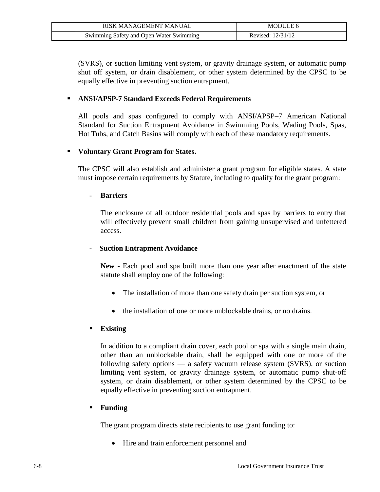| RISK MANAGEMENT MANUAL                  | MODULE 6             |
|-----------------------------------------|----------------------|
| Swimming Safety and Open Water Swimming | 12/31/12<br>Revised: |

(SVRS), or suction limiting vent system, or gravity drainage system, or automatic pump shut off system, or drain disablement, or other system determined by the CPSC to be equally effective in preventing suction entrapment.

## **ANSI/APSP-7 Standard Exceeds Federal Requirements**

All pools and spas configured to comply with ANSI/APSP–7 American National Standard for Suction Entrapment Avoidance in Swimming Pools, Wading Pools, Spas, Hot Tubs, and Catch Basins will comply with each of these mandatory requirements.

# **Voluntary Grant Program for States.**

The CPSC will also establish and administer a grant program for eligible states. A state must impose certain requirements by Statute, including to qualify for the grant program:

#### - **Barriers**

The enclosure of all outdoor residential pools and spas by barriers to entry that will effectively prevent small children from gaining unsupervised and unfettered access.

#### **- Suction Entrapment Avoidance**

**New -** Each pool and spa built more than one year after enactment of the state statute shall employ one of the following:

- The installation of more than one safety drain per suction system, or
- the installation of one or more unblockable drains, or no drains.
- **Existing**

In addition to a compliant drain cover, each pool or spa with a single main drain, other than an unblockable drain, shall be equipped with one or more of the following safety options — a safety vacuum release system (SVRS), or suction limiting vent system, or gravity drainage system, or automatic pump shut-off system, or drain disablement, or other system determined by the CPSC to be equally effective in preventing suction entrapment.

**Funding** 

The grant program directs state recipients to use grant funding to:

• Hire and train enforcement personnel and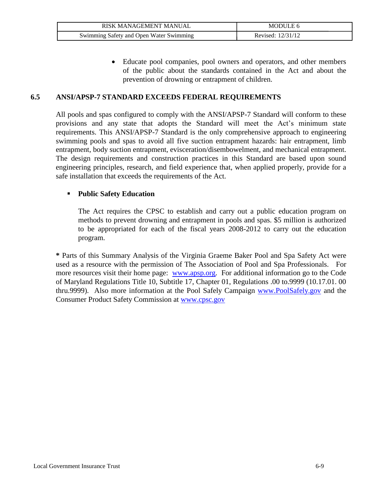| RISK MANAGEMENT MANUAL                  | MODULE 6          |
|-----------------------------------------|-------------------|
| Swimming Safety and Open Water Swimming | Revised: 12/31/12 |

 Educate pool companies, pool owners and operators, and other members of the public about the standards contained in the Act and about the prevention of drowning or entrapment of children.

## **6.5 ANSI/APSP-7 STANDARD EXCEEDS FEDERAL REQUIREMENTS**

All pools and spas configured to comply with the ANSI/APSP-7 Standard will conform to these provisions and any state that adopts the Standard will meet the Act's minimum state requirements. This ANSI/APSP-7 Standard is the only comprehensive approach to engineering swimming pools and spas to avoid all five suction entrapment hazards: hair entrapment, limb entrapment, body suction entrapment, evisceration/disembowelment, and mechanical entrapment. The design requirements and construction practices in this Standard are based upon sound engineering principles, research, and field experience that, when applied properly, provide for a safe installation that exceeds the requirements of the Act.

## **Public Safety Education**

The Act requires the CPSC to establish and carry out a public education program on methods to prevent drowning and entrapment in pools and spas. \$5 million is authorized to be appropriated for each of the fiscal years 2008-2012 to carry out the education program.

**\*** Parts of this Summary Analysis of the Virginia Graeme Baker Pool and Spa Safety Act were used as a resource with the permission of The Association of Pool and Spa Professionals. For more resources visit their home page: [www.apsp.org.](http://www.apsp.org/) For additional information go to the Code of Maryland Regulations Title 10, Subtitle 17, Chapter 01, Regulations .00 to.9999 (10.17.01. 00 thru.9999). Also more information at the Pool Safely Campaign [www.PoolSafely.gov](http://www.poolsafely.gov/) and the Consumer Product Safety Commission at [www.cpsc.gov](http://www.cpsc.gov/)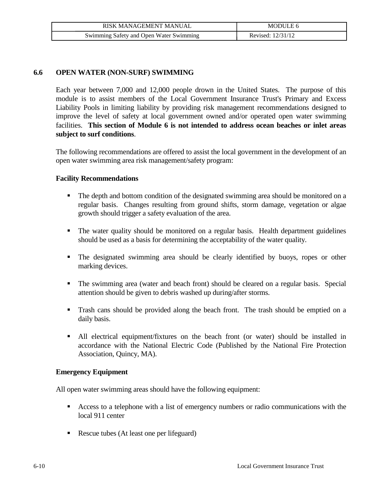| RISK MANAGEMENT MANUAL                  | MODULE 6          |
|-----------------------------------------|-------------------|
| Swimming Safety and Open Water Swimming | Revised: 12/31/12 |

# **6.6 OPEN WATER (NON-SURF) SWIMMING**

Each year between 7,000 and 12,000 people drown in the United States. The purpose of this module is to assist members of the Local Government Insurance Trust's Primary and Excess Liability Pools in limiting liability by providing risk management recommendations designed to improve the level of safety at local government owned and/or operated open water swimming facilities. **This section of Module 6 is not intended to address ocean beaches or inlet areas subject to surf conditions**.

The following recommendations are offered to assist the local government in the development of an open water swimming area risk management/safety program:

## **Facility Recommendations**

- The depth and bottom condition of the designated swimming area should be monitored on a regular basis. Changes resulting from ground shifts, storm damage, vegetation or algae growth should trigger a safety evaluation of the area.
- The water quality should be monitored on a regular basis. Health department guidelines should be used as a basis for determining the acceptability of the water quality.
- The designated swimming area should be clearly identified by buoys, ropes or other marking devices.
- The swimming area (water and beach front) should be cleared on a regular basis. Special attention should be given to debris washed up during/after storms.
- Trash cans should be provided along the beach front. The trash should be emptied on a daily basis.
- All electrical equipment/fixtures on the beach front (or water) should be installed in accordance with the National Electric Code (Published by the National Fire Protection Association, Quincy, MA).

#### **Emergency Equipment**

All open water swimming areas should have the following equipment:

- Access to a telephone with a list of emergency numbers or radio communications with the local 911 center
- Rescue tubes (At least one per lifeguard)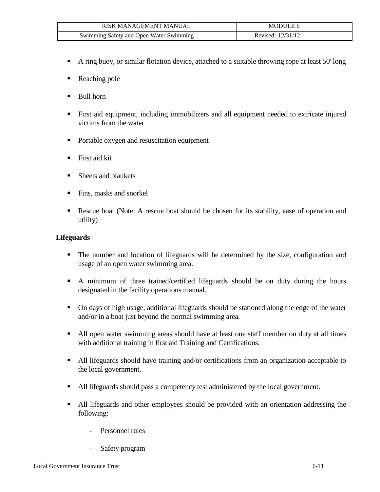| RISK MANAGEMENT MANUAL                  | MODULE 6          |
|-----------------------------------------|-------------------|
| Swimming Safety and Open Water Swimming | Revised: 12/31/12 |

- A ring buoy, or similar flotation device, attached to a suitable throwing rope at least 50' long
- Reaching pole
- $\blacksquare$  Bull horn
- First aid equipment, including immobilizers and all equipment needed to extricate injured victims from the water
- Portable oxygen and resuscitation equipment
- $\blacksquare$  First aid kit
- Sheets and blankets
- Fins, masks and snorkel
- Rescue boat (Note: A rescue boat should be chosen for its stability, ease of operation and utility)

## **Lifeguards**

- The number and location of lifeguards will be determined by the size, configuration and usage of an open water swimming area.
- A minimum of three trained/certified lifeguards should be on duty during the hours designated in the facility operations manual.
- On days of high usage, additional lifeguards should be stationed along the edge of the water and/or in a boat just beyond the normal swimming area.
- All open water swimming areas should have at least one staff member on duty at all times with additional training in first aid Training and Certifications.
- All lifeguards should have training and/or certifications from an organization acceptable to the local government.
- All lifeguards should pass a competency test administered by the local government.
- All lifeguards and other employees should be provided with an orientation addressing the following:
	- Personnel rules
	- Safety program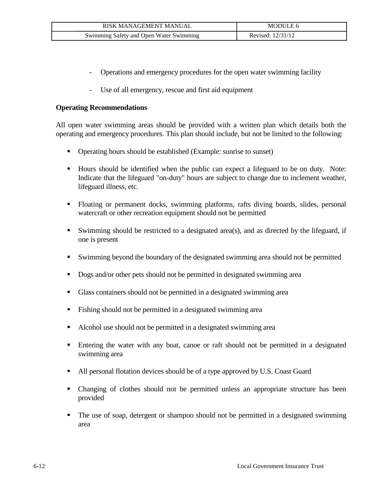| RISK MANAGEMENT MANUAL                  | MODULE 6          |
|-----------------------------------------|-------------------|
| Swimming Safety and Open Water Swimming | Revised: 12/31/12 |

- Operations and emergency procedures for the open water swimming facility
- Use of all emergency, rescue and first aid equipment

## **Operating Recommendations**

All open water swimming areas should be provided with a written plan which details both the operating and emergency procedures. This plan should include, but not be limited to the following:

- Operating hours should be established (Example: sunrise to sunset)
- Hours should be identified when the public can expect a lifeguard to be on duty. Note: Indicate that the lifeguard "on-duty" hours are subject to change due to inclement weather, lifeguard illness, etc.
- Floating or permanent docks, swimming platforms, rafts diving boards, slides, personal watercraft or other recreation equipment should not be permitted
- Swimming should be restricted to a designated area(s), and as directed by the lifeguard, if one is present
- Swimming beyond the boundary of the designated swimming area should not be permitted
- Dogs and/or other pets should not be permitted in designated swimming area
- Glass containers should not be permitted in a designated swimming area
- Fishing should not be permitted in a designated swimming area
- Alcohol use should not be permitted in a designated swimming area
- Entering the water with any boat, canoe or raft should not be permitted in a designated swimming area
- All personal flotation devices should be of a type approved by U.S. Coast Guard
- Changing of clothes should not be permitted unless an appropriate structure has been provided
- The use of soap, detergent or shampoo should not be permitted in a designated swimming area